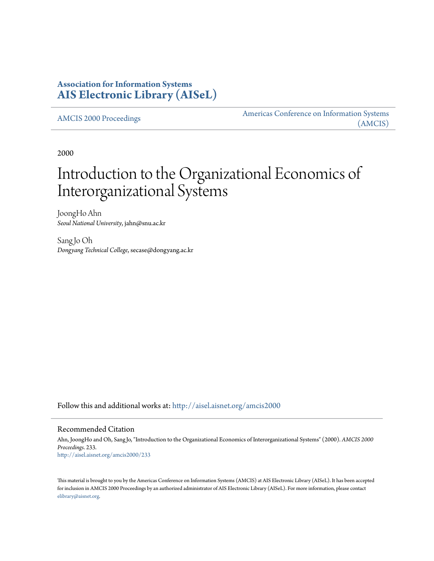# **Association for Information Systems [AIS Electronic Library \(AISeL\)](http://aisel.aisnet.org?utm_source=aisel.aisnet.org%2Famcis2000%2F233&utm_medium=PDF&utm_campaign=PDFCoverPages)**

[AMCIS 2000 Proceedings](http://aisel.aisnet.org/amcis2000?utm_source=aisel.aisnet.org%2Famcis2000%2F233&utm_medium=PDF&utm_campaign=PDFCoverPages)

[Americas Conference on Information Systems](http://aisel.aisnet.org/amcis?utm_source=aisel.aisnet.org%2Famcis2000%2F233&utm_medium=PDF&utm_campaign=PDFCoverPages) [\(AMCIS\)](http://aisel.aisnet.org/amcis?utm_source=aisel.aisnet.org%2Famcis2000%2F233&utm_medium=PDF&utm_campaign=PDFCoverPages)

2000

# Introduction to the Organizational Economics of Interorganizational Systems

JoongHo Ahn *Seoul National University*, jahn@snu.ac.kr

SangJo Oh *Dongyang Technical College*, secase@dongyang.ac.kr

Follow this and additional works at: [http://aisel.aisnet.org/amcis2000](http://aisel.aisnet.org/amcis2000?utm_source=aisel.aisnet.org%2Famcis2000%2F233&utm_medium=PDF&utm_campaign=PDFCoverPages)

#### Recommended Citation

Ahn, JoongHo and Oh, Sang Jo, "Introduction to the Organizational Economics of Interorganizational Systems" (2000). *AMCIS 2000 Proceedings*. 233. [http://aisel.aisnet.org/amcis2000/233](http://aisel.aisnet.org/amcis2000/233?utm_source=aisel.aisnet.org%2Famcis2000%2F233&utm_medium=PDF&utm_campaign=PDFCoverPages)

This material is brought to you by the Americas Conference on Information Systems (AMCIS) at AIS Electronic Library (AISeL). It has been accepted for inclusion in AMCIS 2000 Proceedings by an authorized administrator of AIS Electronic Library (AISeL). For more information, please contact [elibrary@aisnet.org.](mailto:elibrary@aisnet.org%3E)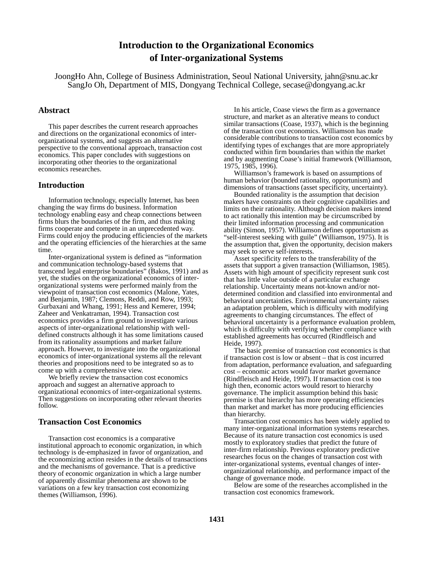## **Introduction to the Organizational Economics of Inter-organizational Systems**

JoongHo Ahn, College of Business Administration, Seoul National University, jahn@snu.ac.kr SangJo Oh, Department of MIS, Dongyang Technical College, secase@dongyang.ac.kr

#### **Abstract**

This paper describes the current research approaches and directions on the organizational economics of interorganizational systems, and suggests an alternative perspective to the conventional approach, transaction cost economics. This paper concludes with suggestions on incorporating other theories to the organizational economics researches.

#### **Introduction**

Information technology, especially Internet, has been changing the way firms do business. Information technology enabling easy and cheap connections between firms blurs the boundaries of the firm, and thus making firms cooperate and compete in an unprecedented way. Firms could enjoy the producing efficiencies of the markets and the operating efficiencies of the hierarchies at the same time.

Inter-organizational system is defined as "information and communication technology-based systems that transcend legal enterprise boundaries" (Bakos, 1991) and as yet, the studies on the organizational economics of interorganizational systems were performed mainly from the viewpoint of transaction cost economics (Malone, Yates, and Benjamin, 1987; Clemons, Reddi, and Row, 1993; Gurbaxani and Whang, 1991; Hess and Kemerer, 1994; Zaheer and Venkatraman, 1994). Transaction cost economics provides a firm ground to investigate various aspects of inter-organizational relationship with welldefined constructs although it has some limitations caused from its rationality assumptions and market failure approach. However, to investigate into the organizational economics of inter-organizational systems all the relevant theories and propositions need to be integrated so as to come up with a comprehensive view.

We briefly review the transaction cost economics approach and suggest an alternative approach to organizational economics of inter-organizational systems. Then suggestions on incorporating other relevant theories follow.

#### **Transaction Cost Economics**

Transaction cost economics is a comparative institutional approach to economic organization, in which technology is de-emphasized in favor of organization, and the economizing action resides in the details of transactions and the mechanisms of governance. That is a predictive theory of economic organization in which a large number of apparently dissimilar phenomena are shown to be variations on a few key transaction cost economizing themes (Williamson, 1996).

In his article, Coase views the firm as a governance structure, and market as an alterative means to conduct similar transactions (Coase, 1937), which is the beginning of the transaction cost economics. Williamson has made considerable contributions to transaction cost economics by identifying types of exchanges that are more appropriately conducted within firm boundaries than within the market and by augmenting Coase's initial framework (Williamson, 1975, 1985, 1996).

Williamson's framework is based on assumptions of human behavior (bounded rationality, opportunism) and dimensions of transactions (asset specificity, uncertainty).

Bounded rationality is the assumption that decision makers have constraints on their cognitive capabilities and limits on their rationality. Although decision makers intend to act rationally this intention may be circumscribed by their limited information processing and communication ability (Simon, 1957). Williamson defines opportunism as "self-interest seeking with guile" (Williamson, 1975). It is the assumption that, given the opportunity, decision makers may seek to serve self-interests.

Asset specificity refers to the transferability of the assets that support a given transaction (Williamson, 1985). Assets with high amount of specificity represent sunk cost that has little value outside of a particular exchange relationship. Uncertainty means not-known and/or notdetermined condition and classified into environmental and behavioral uncertainties. Environmental uncertainty raises an adaptation problem, which is difficulty with modifying agreements to changing circumstances. The effect of behavioral uncertainty is a performance evaluation problem, which is difficulty with verifying whether compliance with established agreements has occurred (Rindfleisch and Heide, 1997).

The basic premise of transaction cost economics is that if transaction cost is low or absent – that is cost incurred from adaptation, performance evaluation, and safeguarding cost – economic actors would favor market governance (Rindfleisch and Heide, 1997). If transaction cost is too high then, economic actors would resort to hierarchy governance. The implicit assumption behind this basic premise is that hierarchy has more operating efficiencies than market and market has more producing efficiencies than hierarchy.

Transaction cost economics has been widely applied to many inter-organizational information systems researches. Because of its nature transaction cost economics is used mostly to exploratory studies that predict the future of inter-firm relationship. Previous exploratory predictive researches focus on the changes of transaction cost with inter-organizational systems, eventual changes of interorganizational relationship, and performance impact of the change of governance mode.

Below are some of the researches accomplished in the transaction cost economics framework.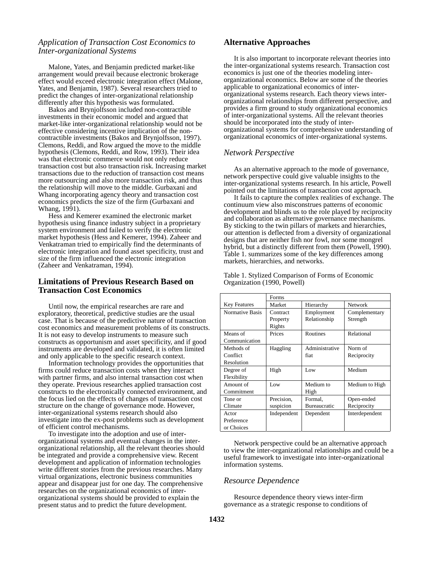### *Application of Transaction Cost Economics to Inter-organizational Systems*

Malone, Yates, and Benjamin predicted market-like arrangement would prevail because electronic brokerage effect would exceed electronic integration effect (Malone, Yates, and Benjamin, 1987). Several researchers tried to predict the changes of inter-organizational relationship differently after this hypothesis was formulated.

Bakos and Brynjolfsson included non-contractible investments in their economic model and argued that market-like inter-organizational relationship would not be effective considering incentive implication of the noncontractible investments (Bakos and Brynjolfsson, 1997). Clemons, Reddi, and Row argued the move to the middle hypothesis (Clemons, Reddi, and Row, 1993). Their idea was that electronic commerce would not only reduce transaction cost but also transaction risk. Increasing market transactions due to the reduction of transaction cost means more outsourcing and also more transaction risk, and thus the relationship will move to the middle. Gurbaxani and Whang incorporating agency theory and transaction cost economics predicts the size of the firm (Gurbaxani and Whang, 1991).

Hess and Kemerer examined the electronic market hypothesis using finance industry subject in a proprietary system environment and failed to verify the electronic market hypothesis (Hess and Kemerer, 1994). Zaheer and Venkatraman tried to empirically find the determinants of electronic integration and found asset specificity, trust and size of the firm influenced the electronic integration (Zaheer and Venkatraman, 1994).

#### **Limitations of Previous Research Based on Transaction Cost Economics**

Until now, the empirical researches are rare and exploratory, theoretical, predictive studies are the usual case. That is because of the predictive nature of transaction cost economics and measurement problems of its constructs. It is not easy to develop instruments to measure such constructs as opportunism and asset specificity, and if good instruments are developed and validated, it is often limited and only applicable to the specific research context.

Information technology provides the opportunities that firms could reduce transaction costs when they interact with partner firms, and also internal transaction cost when they operate. Previous researches applied transaction cost constructs to the electronically connected environment, and the focus lied on the effects of changes of transaction cost structure on the change of governance mode. However, inter-organizational systems research should also investigate into the ex-post problems such as development of efficient control mechanisms.

To investigate into the adoption and use of interorganizational systems and eventual changes in the interorganizational relationship, all the relevant theories should be integrated and provide a comprehensive view. Recent development and application of information technologies write different stories from the previous researches. Many virtual organizations, electronic business communities appear and disappear just for one day. The comprehensive researches on the organizational economics of interorganizational systems should be provided to explain the present status and to predict the future development.

## **Alternative Approaches**

It is also important to incorporate relevant theories into the inter-organizational systems research. Transaction cost economics is just one of the theories modeling interorganizational economics. Below are some of the theories applicable to organizational economics of interorganizational systems research. Each theory views interorganizational relationships from different perspective, and provides a firm ground to study organizational economics of inter-organizational systems. All the relevant theories should be incorporated into the study of interorganizational systems for comprehensive understanding of organizational economics of inter-organizational systems.

#### *Network Perspective*

As an alternative approach to the mode of governance, network perspective could give valuable insights to the inter-organizational systems research. In his article, Powell pointed out the limitations of transaction cost approach.

It fails to capture the complex realities of exchange. The continuum view also misconstrues patterns of economic development and blinds us to the role played by reciprocity and collaboration as alternative governance mechanisms. By sticking to the twin pillars of markets and hierarchies, our attention is deflected from a diversity of organizational designs that are neither fish nor fowl, nor some mongrel hybrid, but a distinctly different from them (Powell, 1990). Table 1. summarizes some of the key differences among markets, hierarchies, and networks.

|                     | Forms       |                |                |
|---------------------|-------------|----------------|----------------|
| <b>Key Features</b> | Market      | Hierarchy      | <b>Network</b> |
| Normative Basis     | Contract    | Employment     | Complementary  |
|                     | Property    | Relationship   | Strength       |
|                     | Rights      |                |                |
| Means of            | Prices      | Routines       | Relational     |
| Communication       |             |                |                |
| Methods of          | Haggling    | Administrative | Norm of        |
| Conflict            |             | fiat           | Reciprocity    |
| Resolution          |             |                |                |
| Degree of           | High        | Low            | Medium         |
| Flexibility         |             |                |                |
| Amount of           | Low         | Medium to      | Medium to High |
| Commitment          |             | High           |                |
| Tone or             | Precision,  | Formal.        | Open-ended     |
| Climate             | suspicion   | Bureaucratic   | Reciprocity    |
| Actor               | Independent | Dependent      | Interdependent |
| Preference          |             |                |                |
| or Choices          |             |                |                |

Table 1. Stylized Comparison of Forms of Economic Organization (1990, Powell)

Network perspective could be an alternative approach to view the inter-organizational relationships and could be a useful framework to investigate into inter-organizational information systems.

#### *Resource Dependence*

Resource dependence theory views inter-firm governance as a strategic response to conditions of